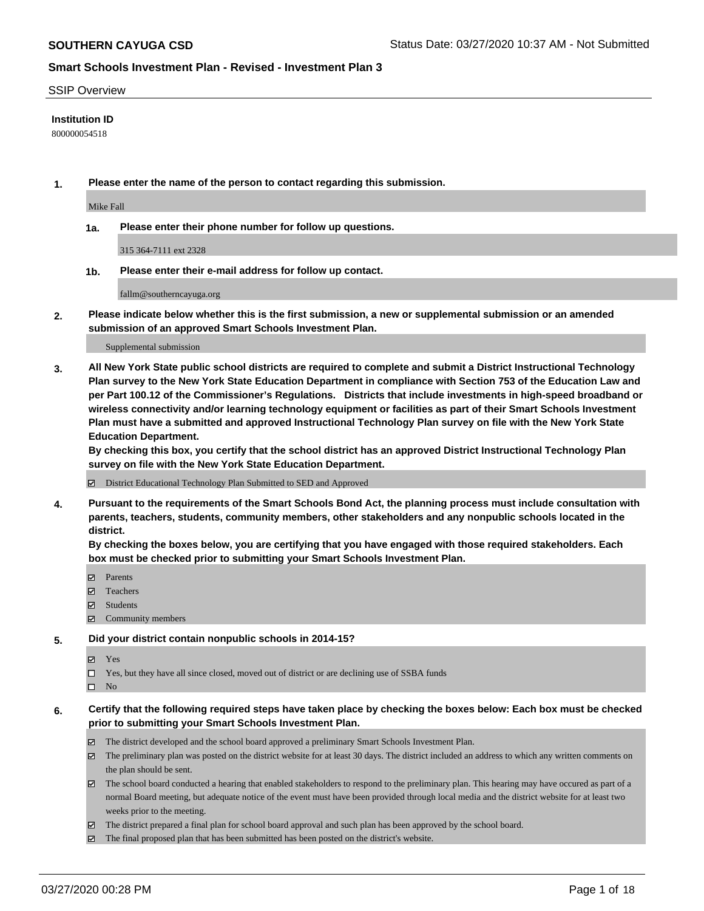#### SSIP Overview

#### **Institution ID**

800000054518

**1. Please enter the name of the person to contact regarding this submission.**

Mike Fall

**1a. Please enter their phone number for follow up questions.**

315 364-7111 ext 2328

**1b. Please enter their e-mail address for follow up contact.**

fallm@southerncayuga.org

**2. Please indicate below whether this is the first submission, a new or supplemental submission or an amended submission of an approved Smart Schools Investment Plan.**

#### Supplemental submission

**3. All New York State public school districts are required to complete and submit a District Instructional Technology Plan survey to the New York State Education Department in compliance with Section 753 of the Education Law and per Part 100.12 of the Commissioner's Regulations. Districts that include investments in high-speed broadband or wireless connectivity and/or learning technology equipment or facilities as part of their Smart Schools Investment Plan must have a submitted and approved Instructional Technology Plan survey on file with the New York State Education Department.** 

**By checking this box, you certify that the school district has an approved District Instructional Technology Plan survey on file with the New York State Education Department.**

District Educational Technology Plan Submitted to SED and Approved

**4. Pursuant to the requirements of the Smart Schools Bond Act, the planning process must include consultation with parents, teachers, students, community members, other stakeholders and any nonpublic schools located in the district.** 

**By checking the boxes below, you are certifying that you have engaged with those required stakeholders. Each box must be checked prior to submitting your Smart Schools Investment Plan.**

- **マ** Parents
- Teachers
- Students
- Community members

#### **5. Did your district contain nonpublic schools in 2014-15?**

**冈** Yes

Yes, but they have all since closed, moved out of district or are declining use of SSBA funds

 $\square$  No

- **6. Certify that the following required steps have taken place by checking the boxes below: Each box must be checked prior to submitting your Smart Schools Investment Plan.**
	- The district developed and the school board approved a preliminary Smart Schools Investment Plan.
	- $\boxtimes$  The preliminary plan was posted on the district website for at least 30 days. The district included an address to which any written comments on the plan should be sent.
	- $\boxtimes$  The school board conducted a hearing that enabled stakeholders to respond to the preliminary plan. This hearing may have occured as part of a normal Board meeting, but adequate notice of the event must have been provided through local media and the district website for at least two weeks prior to the meeting.
	- The district prepared a final plan for school board approval and such plan has been approved by the school board.
	- $\boxtimes$  The final proposed plan that has been submitted has been posted on the district's website.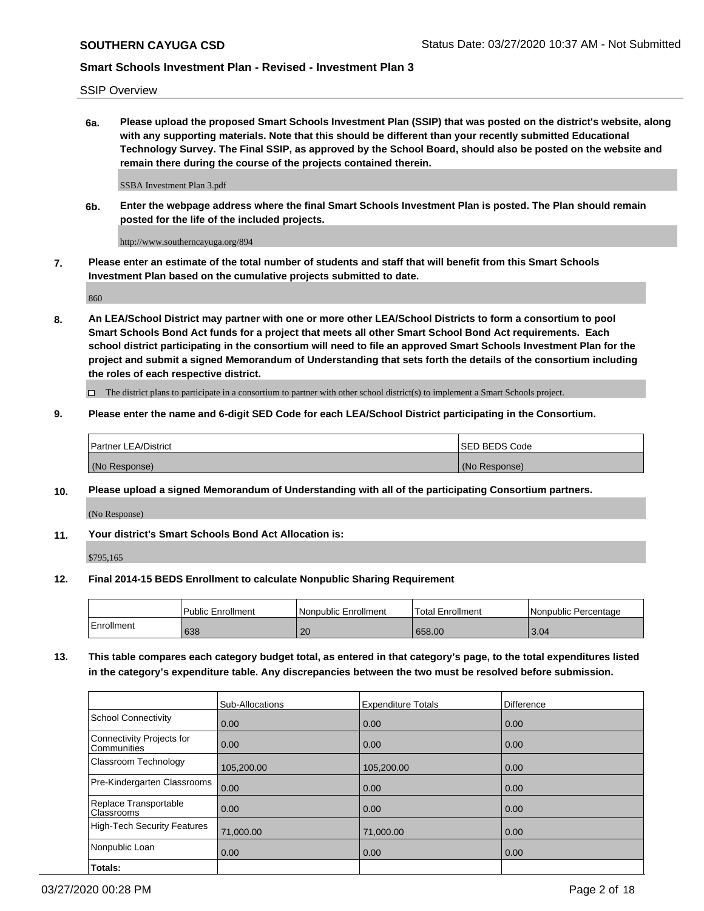SSIP Overview

**6a. Please upload the proposed Smart Schools Investment Plan (SSIP) that was posted on the district's website, along with any supporting materials. Note that this should be different than your recently submitted Educational Technology Survey. The Final SSIP, as approved by the School Board, should also be posted on the website and remain there during the course of the projects contained therein.**

SSBA Investment Plan 3.pdf

**6b. Enter the webpage address where the final Smart Schools Investment Plan is posted. The Plan should remain posted for the life of the included projects.**

http://www.southerncayuga.org/894

**7. Please enter an estimate of the total number of students and staff that will benefit from this Smart Schools Investment Plan based on the cumulative projects submitted to date.**

860

**8. An LEA/School District may partner with one or more other LEA/School Districts to form a consortium to pool Smart Schools Bond Act funds for a project that meets all other Smart School Bond Act requirements. Each school district participating in the consortium will need to file an approved Smart Schools Investment Plan for the project and submit a signed Memorandum of Understanding that sets forth the details of the consortium including the roles of each respective district.**

 $\Box$  The district plans to participate in a consortium to partner with other school district(s) to implement a Smart Schools project.

### **9. Please enter the name and 6-digit SED Code for each LEA/School District participating in the Consortium.**

| Partner LEA/District | <b>ISED BEDS Code</b> |
|----------------------|-----------------------|
| (No Response)        | (No Response)         |

### **10. Please upload a signed Memorandum of Understanding with all of the participating Consortium partners.**

(No Response)

**11. Your district's Smart Schools Bond Act Allocation is:**

\$795,165

### **12. Final 2014-15 BEDS Enrollment to calculate Nonpublic Sharing Requirement**

|            | Public Enrollment | Nonpublic Enrollment | Total Enrollment | Nonpublic Percentage |
|------------|-------------------|----------------------|------------------|----------------------|
| Enrollment | 638               | 20                   | 658.00           | 3.04                 |

**13. This table compares each category budget total, as entered in that category's page, to the total expenditures listed in the category's expenditure table. Any discrepancies between the two must be resolved before submission.**

|                                          | Sub-Allocations | <b>Expenditure Totals</b> | <b>Difference</b> |
|------------------------------------------|-----------------|---------------------------|-------------------|
| <b>School Connectivity</b>               | 0.00            | 0.00                      | 0.00              |
| Connectivity Projects for<br>Communities | 0.00            | 0.00                      | 0.00              |
| Classroom Technology                     | 105,200.00      | 105,200.00                | 0.00              |
| Pre-Kindergarten Classrooms              | 0.00            | 0.00                      | 0.00              |
| Replace Transportable<br>Classrooms      | 0.00            | 0.00                      | 0.00              |
| High-Tech Security Features              | 71,000.00       | 71,000.00                 | 0.00              |
| Nonpublic Loan                           | 0.00            | 0.00                      | 0.00              |
| Totals:                                  |                 |                           |                   |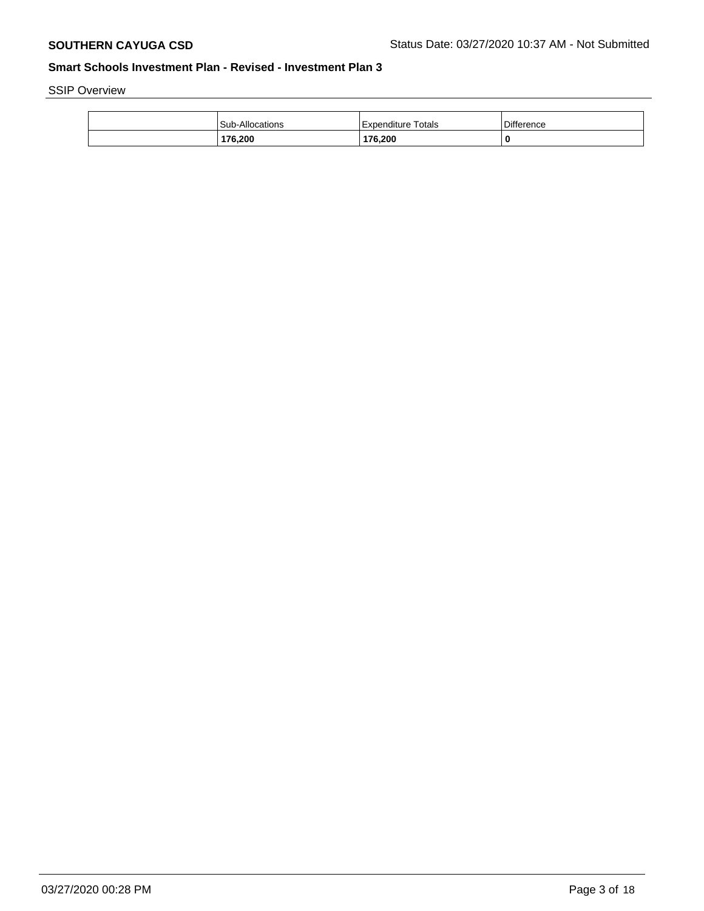SSIP Overview

| <b>Sub-Allocations</b> | Expenditure Totals | Difference |
|------------------------|--------------------|------------|
| 176,200                | 176,200            | 0          |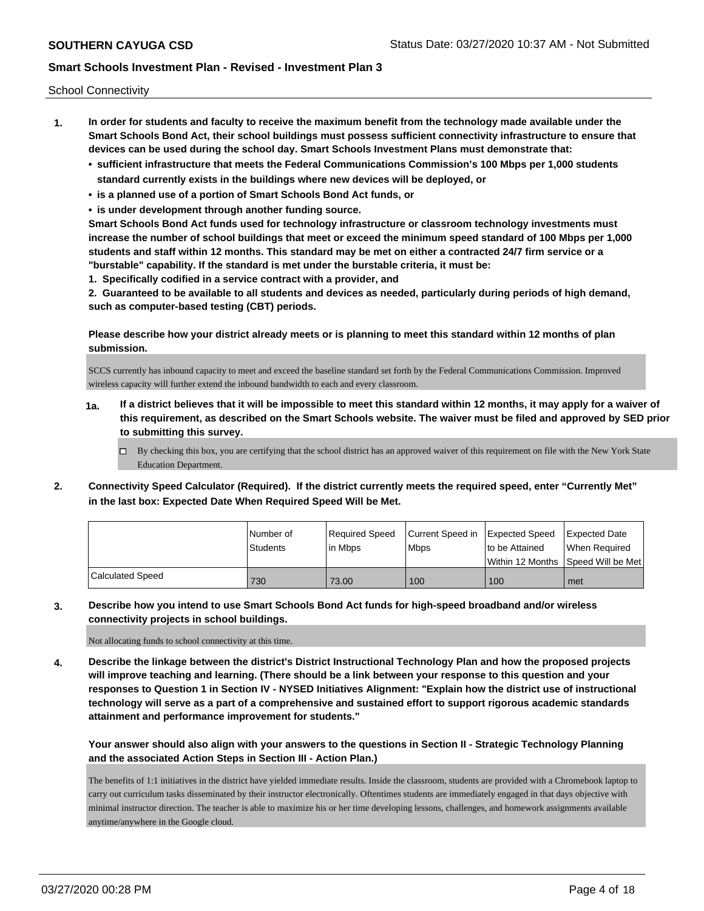School Connectivity

- **1. In order for students and faculty to receive the maximum benefit from the technology made available under the Smart Schools Bond Act, their school buildings must possess sufficient connectivity infrastructure to ensure that devices can be used during the school day. Smart Schools Investment Plans must demonstrate that:**
	- **• sufficient infrastructure that meets the Federal Communications Commission's 100 Mbps per 1,000 students standard currently exists in the buildings where new devices will be deployed, or**
	- **• is a planned use of a portion of Smart Schools Bond Act funds, or**
	- **• is under development through another funding source.**

**Smart Schools Bond Act funds used for technology infrastructure or classroom technology investments must increase the number of school buildings that meet or exceed the minimum speed standard of 100 Mbps per 1,000 students and staff within 12 months. This standard may be met on either a contracted 24/7 firm service or a "burstable" capability. If the standard is met under the burstable criteria, it must be:**

**1. Specifically codified in a service contract with a provider, and**

**2. Guaranteed to be available to all students and devices as needed, particularly during periods of high demand, such as computer-based testing (CBT) periods.**

**Please describe how your district already meets or is planning to meet this standard within 12 months of plan submission.**

SCCS currently has inbound capacity to meet and exceed the baseline standard set forth by the Federal Communications Commission. Improved wireless capacity will further extend the inbound bandwidth to each and every classroom.

- **1a. If a district believes that it will be impossible to meet this standard within 12 months, it may apply for a waiver of this requirement, as described on the Smart Schools website. The waiver must be filed and approved by SED prior to submitting this survey.**
	- $\Box$  By checking this box, you are certifying that the school district has an approved waiver of this requirement on file with the New York State Education Department.
- **2. Connectivity Speed Calculator (Required). If the district currently meets the required speed, enter "Currently Met" in the last box: Expected Date When Required Speed Will be Met.**

|                  | l Number of<br>Students | Reauired Speed<br>l in Mbps | Current Speed in Expected Speed<br><b>Mbps</b> | to be Attained | <b>Expected Date</b><br>When Required |
|------------------|-------------------------|-----------------------------|------------------------------------------------|----------------|---------------------------------------|
|                  |                         |                             |                                                |                | Within 12 Months  Speed Will be Met   |
| Calculated Speed | 730                     | 73.00                       | 100                                            | 100            | met                                   |

**3. Describe how you intend to use Smart Schools Bond Act funds for high-speed broadband and/or wireless connectivity projects in school buildings.**

Not allocating funds to school connectivity at this time.

**4. Describe the linkage between the district's District Instructional Technology Plan and how the proposed projects will improve teaching and learning. (There should be a link between your response to this question and your responses to Question 1 in Section IV - NYSED Initiatives Alignment: "Explain how the district use of instructional technology will serve as a part of a comprehensive and sustained effort to support rigorous academic standards attainment and performance improvement for students."** 

**Your answer should also align with your answers to the questions in Section II - Strategic Technology Planning and the associated Action Steps in Section III - Action Plan.)**

The benefits of 1:1 initiatives in the district have yielded immediate results. Inside the classroom, students are provided with a Chromebook laptop to carry out curriculum tasks disseminated by their instructor electronically. Oftentimes students are immediately engaged in that days objective with minimal instructor direction. The teacher is able to maximize his or her time developing lessons, challenges, and homework assignments available anytime/anywhere in the Google cloud.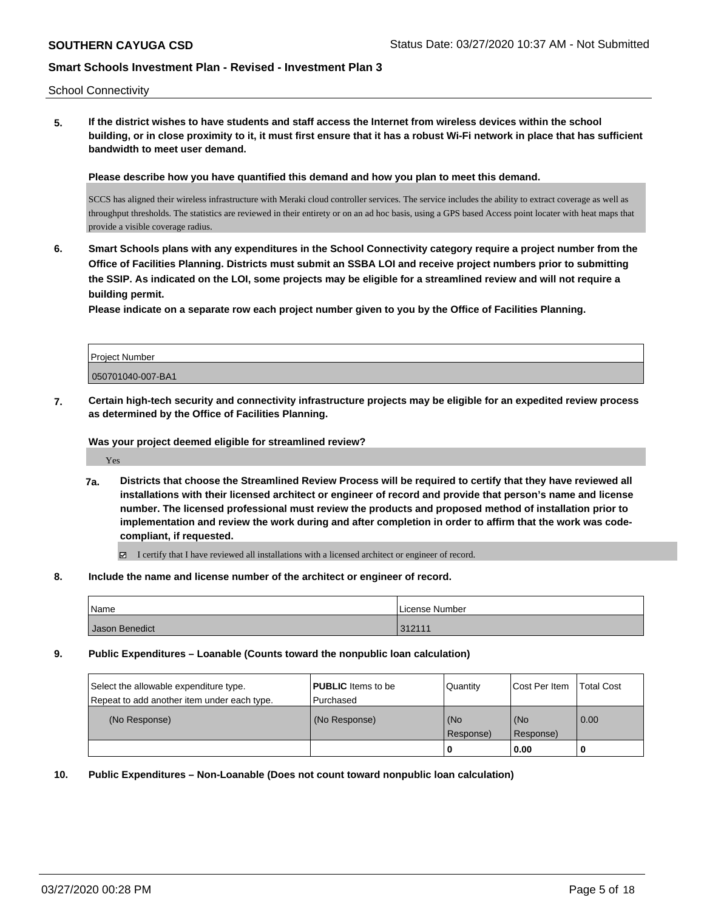School Connectivity

**5. If the district wishes to have students and staff access the Internet from wireless devices within the school building, or in close proximity to it, it must first ensure that it has a robust Wi-Fi network in place that has sufficient bandwidth to meet user demand.**

**Please describe how you have quantified this demand and how you plan to meet this demand.**

SCCS has aligned their wireless infrastructure with Meraki cloud controller services. The service includes the ability to extract coverage as well as throughput thresholds. The statistics are reviewed in their entirety or on an ad hoc basis, using a GPS based Access point locater with heat maps that provide a visible coverage radius.

**6. Smart Schools plans with any expenditures in the School Connectivity category require a project number from the Office of Facilities Planning. Districts must submit an SSBA LOI and receive project numbers prior to submitting the SSIP. As indicated on the LOI, some projects may be eligible for a streamlined review and will not require a building permit.**

**Please indicate on a separate row each project number given to you by the Office of Facilities Planning.**

| l Proiect Number  |  |
|-------------------|--|
| 050701040-007-BA1 |  |

**7. Certain high-tech security and connectivity infrastructure projects may be eligible for an expedited review process as determined by the Office of Facilities Planning.**

**Was your project deemed eligible for streamlined review?**

Yes

**7a. Districts that choose the Streamlined Review Process will be required to certify that they have reviewed all installations with their licensed architect or engineer of record and provide that person's name and license number. The licensed professional must review the products and proposed method of installation prior to implementation and review the work during and after completion in order to affirm that the work was codecompliant, if requested.**

I certify that I have reviewed all installations with a licensed architect or engineer of record.

**8. Include the name and license number of the architect or engineer of record.**

| Name           | License Number           |
|----------------|--------------------------|
| Jason Benedict | 21211<br>$V_{L}$ $V_{L}$ |

**9. Public Expenditures – Loanable (Counts toward the nonpublic loan calculation)**

| Select the allowable expenditure type.<br>Repeat to add another item under each type. | <b>PUBLIC</b> Items to be<br>l Purchased | Quantity           | Cost Per Item    | <b>Total Cost</b> |
|---------------------------------------------------------------------------------------|------------------------------------------|--------------------|------------------|-------------------|
| (No Response)                                                                         | (No Response)                            | (No<br>l Response) | (No<br>Response) | 0.00              |
|                                                                                       |                                          | U                  | 0.00             |                   |

**10. Public Expenditures – Non-Loanable (Does not count toward nonpublic loan calculation)**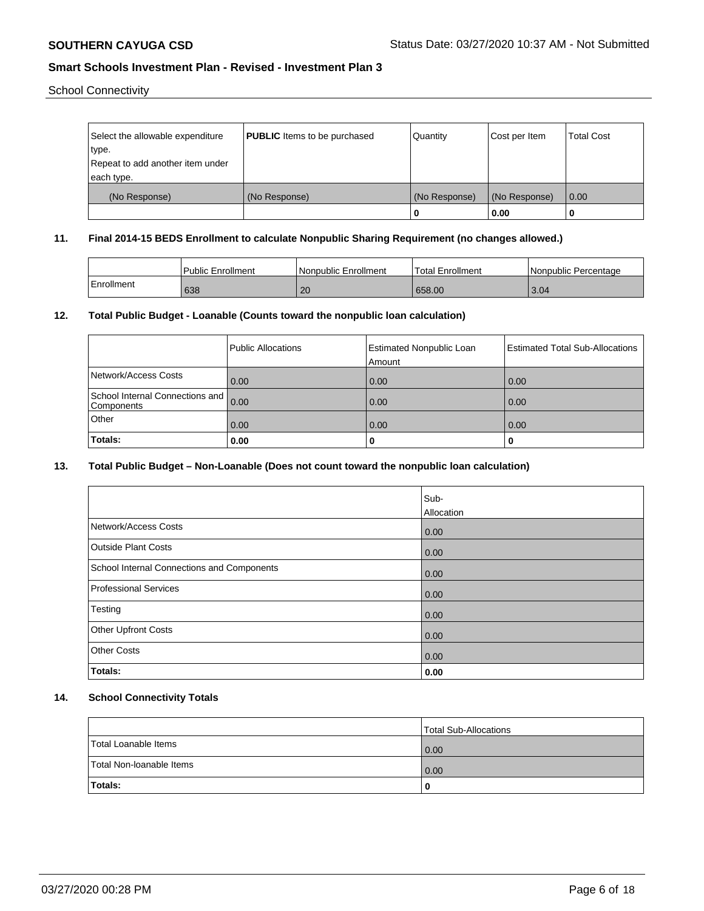School Connectivity

| Select the allowable expenditure<br>type.      | <b>PUBLIC</b> Items to be purchased | Quantity      | Cost per Item | <b>Total Cost</b> |
|------------------------------------------------|-------------------------------------|---------------|---------------|-------------------|
| Repeat to add another item under<br>each type. |                                     |               |               |                   |
| (No Response)                                  | (No Response)                       | (No Response) | (No Response) | 0.00              |
|                                                |                                     | 0             | 0.00          |                   |

### **11. Final 2014-15 BEDS Enrollment to calculate Nonpublic Sharing Requirement (no changes allowed.)**

|            | Public Enrollment | Nonpublic Enrollment | Total Enrollment | I Nonpublic Percentage |
|------------|-------------------|----------------------|------------------|------------------------|
| Enrollment | 638               | 20                   | 658.00           | 3.04                   |

### **12. Total Public Budget - Loanable (Counts toward the nonpublic loan calculation)**

|                                               | Public Allocations | <b>Estimated Nonpublic Loan</b><br>Amount | <b>Estimated Total Sub-Allocations</b> |
|-----------------------------------------------|--------------------|-------------------------------------------|----------------------------------------|
| Network/Access Costs                          | 0.00               | 0.00                                      | 0.00                                   |
| School Internal Connections and<br>Components | 0.00               | 0.00                                      | 0.00                                   |
| Other                                         | 0.00               | 0.00                                      | 0.00                                   |
| Totals:                                       | 0.00               |                                           |                                        |

## **13. Total Public Budget – Non-Loanable (Does not count toward the nonpublic loan calculation)**

|                                            | Sub-       |
|--------------------------------------------|------------|
|                                            | Allocation |
| Network/Access Costs                       | 0.00       |
| <b>Outside Plant Costs</b>                 | 0.00       |
| School Internal Connections and Components | 0.00       |
| <b>Professional Services</b>               | 0.00       |
| Testing                                    | 0.00       |
| Other Upfront Costs                        | 0.00       |
| <b>Other Costs</b>                         | 0.00       |
| Totals:                                    | 0.00       |

## **14. School Connectivity Totals**

|                          | Total Sub-Allocations |
|--------------------------|-----------------------|
| Total Loanable Items     | 0.00                  |
| Total Non-Ioanable Items | 0.00                  |
| Totals:                  | O                     |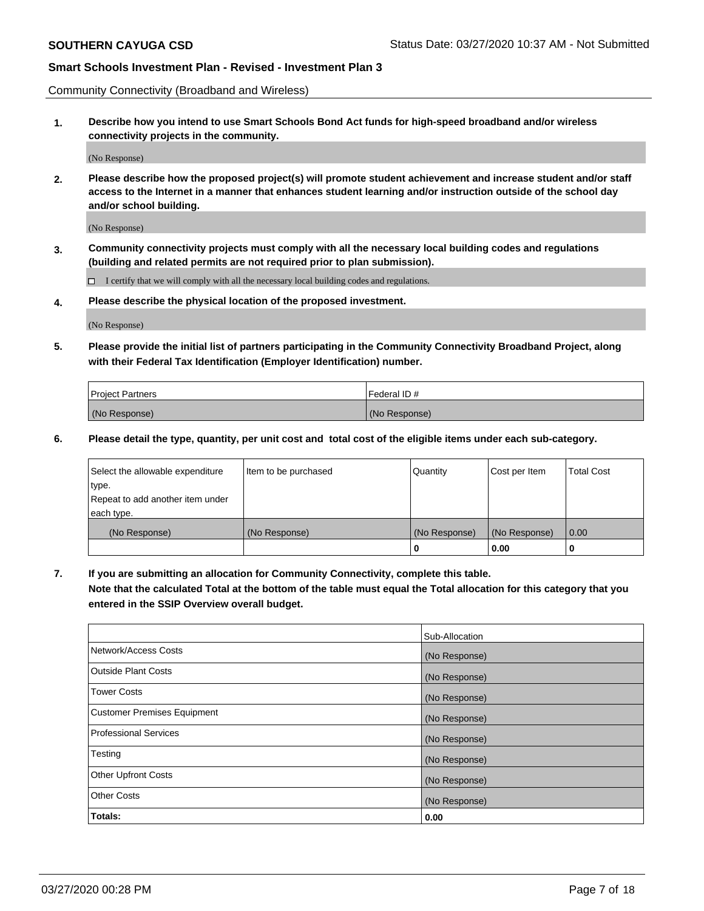Community Connectivity (Broadband and Wireless)

**1. Describe how you intend to use Smart Schools Bond Act funds for high-speed broadband and/or wireless connectivity projects in the community.**

(No Response)

**2. Please describe how the proposed project(s) will promote student achievement and increase student and/or staff access to the Internet in a manner that enhances student learning and/or instruction outside of the school day and/or school building.**

(No Response)

**3. Community connectivity projects must comply with all the necessary local building codes and regulations (building and related permits are not required prior to plan submission).**

 $\Box$  I certify that we will comply with all the necessary local building codes and regulations.

**4. Please describe the physical location of the proposed investment.**

(No Response)

**5. Please provide the initial list of partners participating in the Community Connectivity Broadband Project, along with their Federal Tax Identification (Employer Identification) number.**

| <b>Project Partners</b> | l Federal ID # |
|-------------------------|----------------|
| (No Response)           | (No Response)  |

**6. Please detail the type, quantity, per unit cost and total cost of the eligible items under each sub-category.**

| Select the allowable expenditure | Item to be purchased | Quantity      | Cost per Item | <b>Total Cost</b> |
|----------------------------------|----------------------|---------------|---------------|-------------------|
| type.                            |                      |               |               |                   |
| Repeat to add another item under |                      |               |               |                   |
| each type.                       |                      |               |               |                   |
| (No Response)                    | (No Response)        | (No Response) | (No Response) | 0.00              |
|                                  |                      | o             | 0.00          |                   |

**7. If you are submitting an allocation for Community Connectivity, complete this table.**

**Note that the calculated Total at the bottom of the table must equal the Total allocation for this category that you entered in the SSIP Overview overall budget.**

|                                    | Sub-Allocation |
|------------------------------------|----------------|
| Network/Access Costs               | (No Response)  |
| Outside Plant Costs                | (No Response)  |
| <b>Tower Costs</b>                 | (No Response)  |
| <b>Customer Premises Equipment</b> | (No Response)  |
| <b>Professional Services</b>       | (No Response)  |
| Testing                            | (No Response)  |
| <b>Other Upfront Costs</b>         | (No Response)  |
| <b>Other Costs</b>                 | (No Response)  |
| Totals:                            | 0.00           |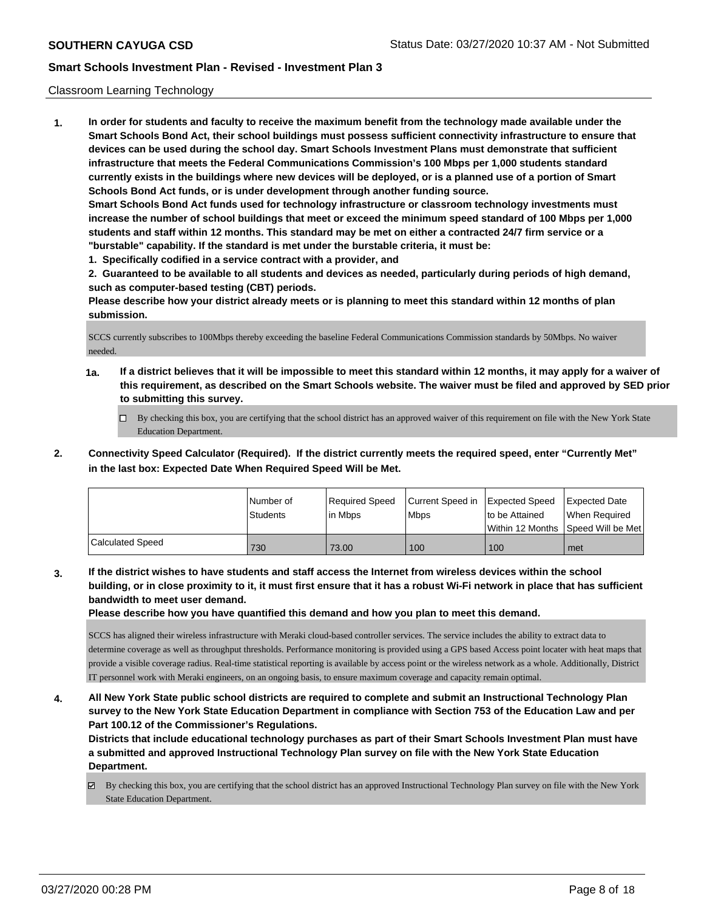### Classroom Learning Technology

**1. In order for students and faculty to receive the maximum benefit from the technology made available under the Smart Schools Bond Act, their school buildings must possess sufficient connectivity infrastructure to ensure that devices can be used during the school day. Smart Schools Investment Plans must demonstrate that sufficient infrastructure that meets the Federal Communications Commission's 100 Mbps per 1,000 students standard currently exists in the buildings where new devices will be deployed, or is a planned use of a portion of Smart Schools Bond Act funds, or is under development through another funding source. Smart Schools Bond Act funds used for technology infrastructure or classroom technology investments must increase the number of school buildings that meet or exceed the minimum speed standard of 100 Mbps per 1,000 students and staff within 12 months. This standard may be met on either a contracted 24/7 firm service or a "burstable" capability. If the standard is met under the burstable criteria, it must be:**

**1. Specifically codified in a service contract with a provider, and**

**2. Guaranteed to be available to all students and devices as needed, particularly during periods of high demand, such as computer-based testing (CBT) periods.**

**Please describe how your district already meets or is planning to meet this standard within 12 months of plan submission.**

SCCS currently subscribes to 100Mbps thereby exceeding the baseline Federal Communications Commission standards by 50Mbps. No waiver needed.

- **1a. If a district believes that it will be impossible to meet this standard within 12 months, it may apply for a waiver of this requirement, as described on the Smart Schools website. The waiver must be filed and approved by SED prior to submitting this survey.**
	- By checking this box, you are certifying that the school district has an approved waiver of this requirement on file with the New York State Education Department.
- **2. Connectivity Speed Calculator (Required). If the district currently meets the required speed, enter "Currently Met" in the last box: Expected Date When Required Speed Will be Met.**

|                  | INumber of<br><b>Students</b> | Required Speed<br>l in Mbps | Current Speed in Expected Speed<br>l Mbps | Ito be Attained | Expected Date<br>When Required<br>Within 12 Months Speed Will be Met |
|------------------|-------------------------------|-----------------------------|-------------------------------------------|-----------------|----------------------------------------------------------------------|
| Calculated Speed | 730                           | 73.00                       | 100                                       | 100             | met                                                                  |

**3. If the district wishes to have students and staff access the Internet from wireless devices within the school building, or in close proximity to it, it must first ensure that it has a robust Wi-Fi network in place that has sufficient bandwidth to meet user demand.**

**Please describe how you have quantified this demand and how you plan to meet this demand.**

SCCS has aligned their wireless infrastructure with Meraki cloud-based controller services. The service includes the ability to extract data to determine coverage as well as throughput thresholds. Performance monitoring is provided using a GPS based Access point locater with heat maps that provide a visible coverage radius. Real-time statistical reporting is available by access point or the wireless network as a whole. Additionally, District IT personnel work with Meraki engineers, on an ongoing basis, to ensure maximum coverage and capacity remain optimal.

**4. All New York State public school districts are required to complete and submit an Instructional Technology Plan survey to the New York State Education Department in compliance with Section 753 of the Education Law and per Part 100.12 of the Commissioner's Regulations.**

**Districts that include educational technology purchases as part of their Smart Schools Investment Plan must have a submitted and approved Instructional Technology Plan survey on file with the New York State Education Department.**

By checking this box, you are certifying that the school district has an approved Instructional Technology Plan survey on file with the New York State Education Department.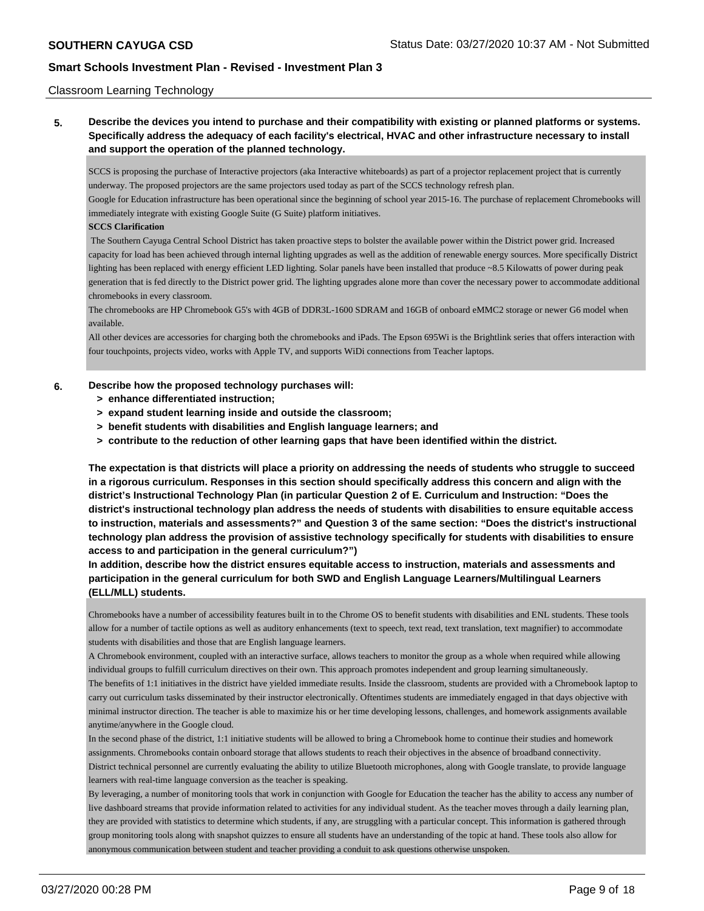### Classroom Learning Technology

**5. Describe the devices you intend to purchase and their compatibility with existing or planned platforms or systems. Specifically address the adequacy of each facility's electrical, HVAC and other infrastructure necessary to install and support the operation of the planned technology.**

SCCS is proposing the purchase of Interactive projectors (aka Interactive whiteboards) as part of a projector replacement project that is currently underway. The proposed projectors are the same projectors used today as part of the SCCS technology refresh plan.

Google for Education infrastructure has been operational since the beginning of school year 2015-16. The purchase of replacement Chromebooks will immediately integrate with existing Google Suite (G Suite) platform initiatives.

#### **SCCS Clarification**

 The Southern Cayuga Central School District has taken proactive steps to bolster the available power within the District power grid. Increased capacity for load has been achieved through internal lighting upgrades as well as the addition of renewable energy sources. More specifically District lighting has been replaced with energy efficient LED lighting. Solar panels have been installed that produce ~8.5 Kilowatts of power during peak generation that is fed directly to the District power grid. The lighting upgrades alone more than cover the necessary power to accommodate additional chromebooks in every classroom.

The chromebooks are HP Chromebook G5's with 4GB of DDR3L-1600 SDRAM and 16GB of onboard eMMC2 storage or newer G6 model when available.

All other devices are accessories for charging both the chromebooks and iPads. The Epson 695Wi is the Brightlink series that offers interaction with four touchpoints, projects video, works with Apple TV, and supports WiDi connections from Teacher laptops.

#### **6. Describe how the proposed technology purchases will:**

- **> enhance differentiated instruction;**
- **> expand student learning inside and outside the classroom;**
- **> benefit students with disabilities and English language learners; and**
- **> contribute to the reduction of other learning gaps that have been identified within the district.**

**The expectation is that districts will place a priority on addressing the needs of students who struggle to succeed in a rigorous curriculum. Responses in this section should specifically address this concern and align with the district's Instructional Technology Plan (in particular Question 2 of E. Curriculum and Instruction: "Does the district's instructional technology plan address the needs of students with disabilities to ensure equitable access to instruction, materials and assessments?" and Question 3 of the same section: "Does the district's instructional technology plan address the provision of assistive technology specifically for students with disabilities to ensure access to and participation in the general curriculum?")**

**In addition, describe how the district ensures equitable access to instruction, materials and assessments and participation in the general curriculum for both SWD and English Language Learners/Multilingual Learners (ELL/MLL) students.**

Chromebooks have a number of accessibility features built in to the Chrome OS to benefit students with disabilities and ENL students. These tools allow for a number of tactile options as well as auditory enhancements (text to speech, text read, text translation, text magnifier) to accommodate students with disabilities and those that are English language learners.

A Chromebook environment, coupled with an interactive surface, allows teachers to monitor the group as a whole when required while allowing individual groups to fulfill curriculum directives on their own. This approach promotes independent and group learning simultaneously. The benefits of 1:1 initiatives in the district have yielded immediate results. Inside the classroom, students are provided with a Chromebook laptop to carry out curriculum tasks disseminated by their instructor electronically. Oftentimes students are immediately engaged in that days objective with minimal instructor direction. The teacher is able to maximize his or her time developing lessons, challenges, and homework assignments available anytime/anywhere in the Google cloud.

In the second phase of the district, 1:1 initiative students will be allowed to bring a Chromebook home to continue their studies and homework assignments. Chromebooks contain onboard storage that allows students to reach their objectives in the absence of broadband connectivity. District technical personnel are currently evaluating the ability to utilize Bluetooth microphones, along with Google translate, to provide language learners with real-time language conversion as the teacher is speaking.

By leveraging, a number of monitoring tools that work in conjunction with Google for Education the teacher has the ability to access any number of live dashboard streams that provide information related to activities for any individual student. As the teacher moves through a daily learning plan, they are provided with statistics to determine which students, if any, are struggling with a particular concept. This information is gathered through group monitoring tools along with snapshot quizzes to ensure all students have an understanding of the topic at hand. These tools also allow for anonymous communication between student and teacher providing a conduit to ask questions otherwise unspoken.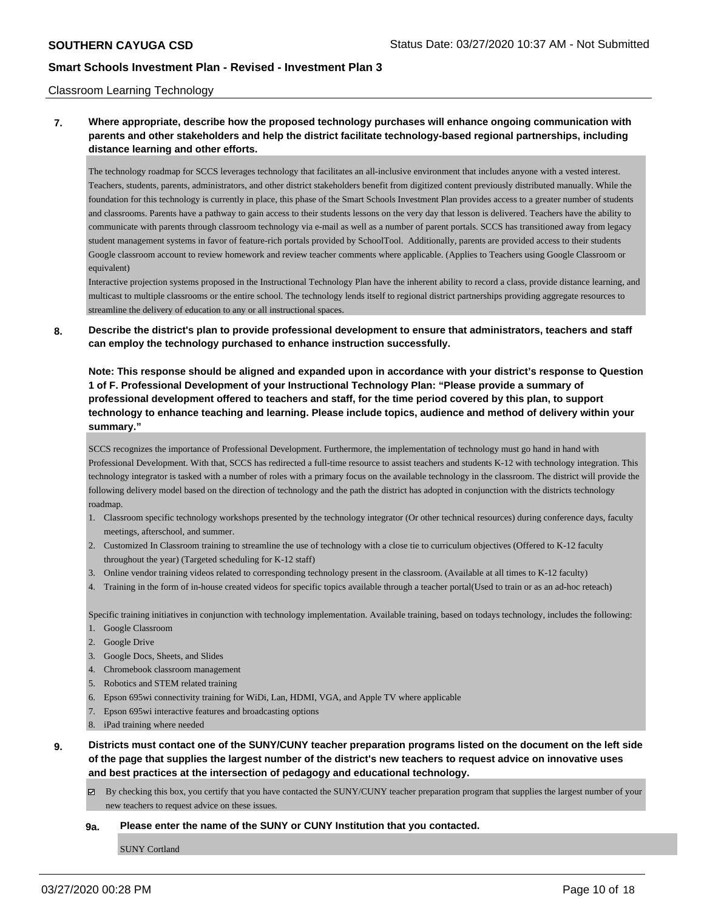#### Classroom Learning Technology

## **7. Where appropriate, describe how the proposed technology purchases will enhance ongoing communication with parents and other stakeholders and help the district facilitate technology-based regional partnerships, including distance learning and other efforts.**

The technology roadmap for SCCS leverages technology that facilitates an all-inclusive environment that includes anyone with a vested interest. Teachers, students, parents, administrators, and other district stakeholders benefit from digitized content previously distributed manually. While the foundation for this technology is currently in place, this phase of the Smart Schools Investment Plan provides access to a greater number of students and classrooms. Parents have a pathway to gain access to their students lessons on the very day that lesson is delivered. Teachers have the ability to communicate with parents through classroom technology via e-mail as well as a number of parent portals. SCCS has transitioned away from legacy student management systems in favor of feature-rich portals provided by SchoolTool. Additionally, parents are provided access to their students Google classroom account to review homework and review teacher comments where applicable. (Applies to Teachers using Google Classroom or equivalent)

Interactive projection systems proposed in the Instructional Technology Plan have the inherent ability to record a class, provide distance learning, and multicast to multiple classrooms or the entire school. The technology lends itself to regional district partnerships providing aggregate resources to streamline the delivery of education to any or all instructional spaces.

### **8. Describe the district's plan to provide professional development to ensure that administrators, teachers and staff can employ the technology purchased to enhance instruction successfully.**

**Note: This response should be aligned and expanded upon in accordance with your district's response to Question 1 of F. Professional Development of your Instructional Technology Plan: "Please provide a summary of professional development offered to teachers and staff, for the time period covered by this plan, to support technology to enhance teaching and learning. Please include topics, audience and method of delivery within your summary."**

SCCS recognizes the importance of Professional Development. Furthermore, the implementation of technology must go hand in hand with Professional Development. With that, SCCS has redirected a full-time resource to assist teachers and students K-12 with technology integration. This technology integrator is tasked with a number of roles with a primary focus on the available technology in the classroom. The district will provide the following delivery model based on the direction of technology and the path the district has adopted in conjunction with the district s technology roadmap.

- 1. Classroom specific technology workshops presented by the technology integrator (Or other technical resources) during conference days, faculty meetings, afterschool, and summer.
- 2. Customized In Classroom training to streamline the use of technology with a close tie to curriculum objectives (Offered to K-12 faculty throughout the year) (Targeted scheduling for K-12 staff)
- 3. Online vendor training videos related to corresponding technology present in the classroom. (Available at all times to K-12 faculty)
- 4. Training in the form of in-house created videos for specific topics available through a teacher portal(Used to train or as an ad-hoc reteach)

Specific training initiatives in conjunction with technology implementation. Available training, based on todays technology, includes the following:

- 1. Google Classroom
- 2. Google Drive
- 3. Google Docs, Sheets, and Slides
- 4. Chromebook classroom management
- 5. Robotics and STEM related training
- 6. Epson 695wi connectivity training for WiDi, Lan, HDMI, VGA, and Apple TV where applicable
- 7. Epson 695wi interactive features and broadcasting options
- 8. iPad training where needed
- **9. Districts must contact one of the SUNY/CUNY teacher preparation programs listed on the document on the left side of the page that supplies the largest number of the district's new teachers to request advice on innovative uses and best practices at the intersection of pedagogy and educational technology.**
	- $\boxtimes$  By checking this box, you certify that you have contacted the SUNY/CUNY teacher preparation program that supplies the largest number of your new teachers to request advice on these issues.

#### **9a. Please enter the name of the SUNY or CUNY Institution that you contacted.**

SUNY Cortland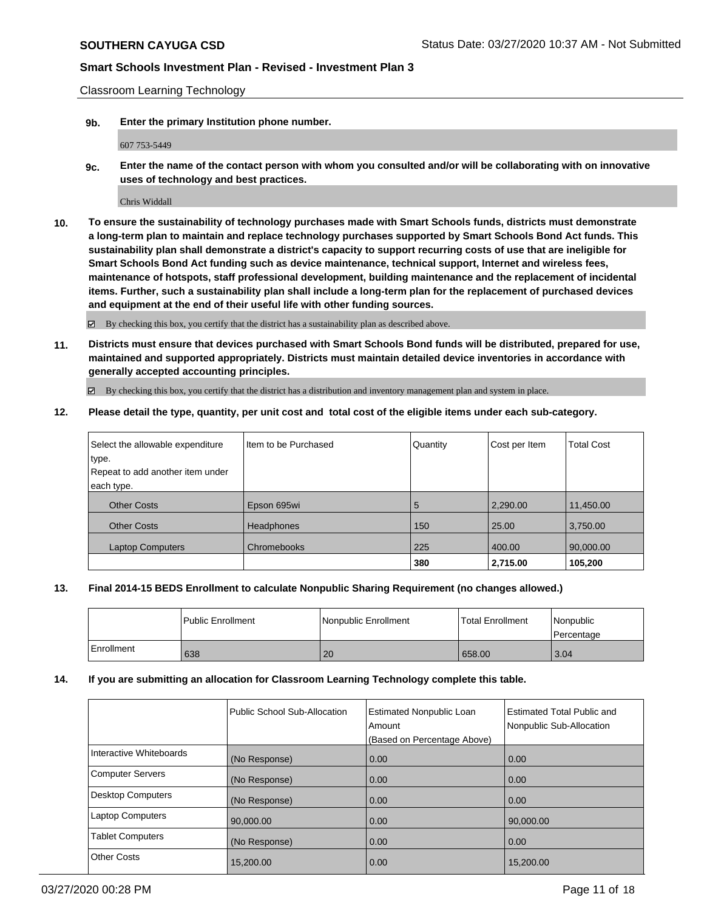Classroom Learning Technology

**9b. Enter the primary Institution phone number.**

607 753-5449

**9c. Enter the name of the contact person with whom you consulted and/or will be collaborating with on innovative uses of technology and best practices.**

Chris Widdall

**10. To ensure the sustainability of technology purchases made with Smart Schools funds, districts must demonstrate a long-term plan to maintain and replace technology purchases supported by Smart Schools Bond Act funds. This sustainability plan shall demonstrate a district's capacity to support recurring costs of use that are ineligible for Smart Schools Bond Act funding such as device maintenance, technical support, Internet and wireless fees, maintenance of hotspots, staff professional development, building maintenance and the replacement of incidental items. Further, such a sustainability plan shall include a long-term plan for the replacement of purchased devices and equipment at the end of their useful life with other funding sources.**

By checking this box, you certify that the district has a sustainability plan as described above.

**11. Districts must ensure that devices purchased with Smart Schools Bond funds will be distributed, prepared for use, maintained and supported appropriately. Districts must maintain detailed device inventories in accordance with generally accepted accounting principles.**

By checking this box, you certify that the district has a distribution and inventory management plan and system in place.

**12. Please detail the type, quantity, per unit cost and total cost of the eligible items under each sub-category.**

| Select the allowable expenditure | Iltem to be Purchased | Quantity | Cost per Item | <b>Total Cost</b> |
|----------------------------------|-----------------------|----------|---------------|-------------------|
| type.                            |                       |          |               |                   |
| Repeat to add another item under |                       |          |               |                   |
| each type.                       |                       |          |               |                   |
| <b>Other Costs</b>               | Epson 695wi           | 5        | 2,290.00      | 11,450.00         |
| <b>Other Costs</b>               | <b>Headphones</b>     | 150      | 25.00         | 3,750.00          |
| <b>Laptop Computers</b>          | Chromebooks           | 225      | 400.00        | 90,000.00         |
|                                  |                       | 380      | 2,715.00      | 105,200           |

### **13. Final 2014-15 BEDS Enrollment to calculate Nonpublic Sharing Requirement (no changes allowed.)**

|            | Public Enrollment | Nonpublic Enrollment | <b>Total Enrollment</b> | Nonpublic<br>l Percentage |
|------------|-------------------|----------------------|-------------------------|---------------------------|
| Enrollment | 638               | 20                   | 658.00                  | 3.04                      |

### **14. If you are submitting an allocation for Classroom Learning Technology complete this table.**

|                          | Public School Sub-Allocation | <b>Estimated Nonpublic Loan</b><br>Amount<br>(Based on Percentage Above) | <b>Estimated Total Public and</b><br>Nonpublic Sub-Allocation |
|--------------------------|------------------------------|--------------------------------------------------------------------------|---------------------------------------------------------------|
| Interactive Whiteboards  | (No Response)                | 0.00                                                                     | 0.00                                                          |
| <b>Computer Servers</b>  | (No Response)                | 0.00                                                                     | 0.00                                                          |
| <b>Desktop Computers</b> | (No Response)                | 0.00                                                                     | 0.00                                                          |
| <b>Laptop Computers</b>  | 90,000.00                    | 0.00                                                                     | 90,000.00                                                     |
| <b>Tablet Computers</b>  | (No Response)                | 0.00                                                                     | 0.00                                                          |
| <b>Other Costs</b>       | 15,200.00                    | 0.00                                                                     | 15.200.00                                                     |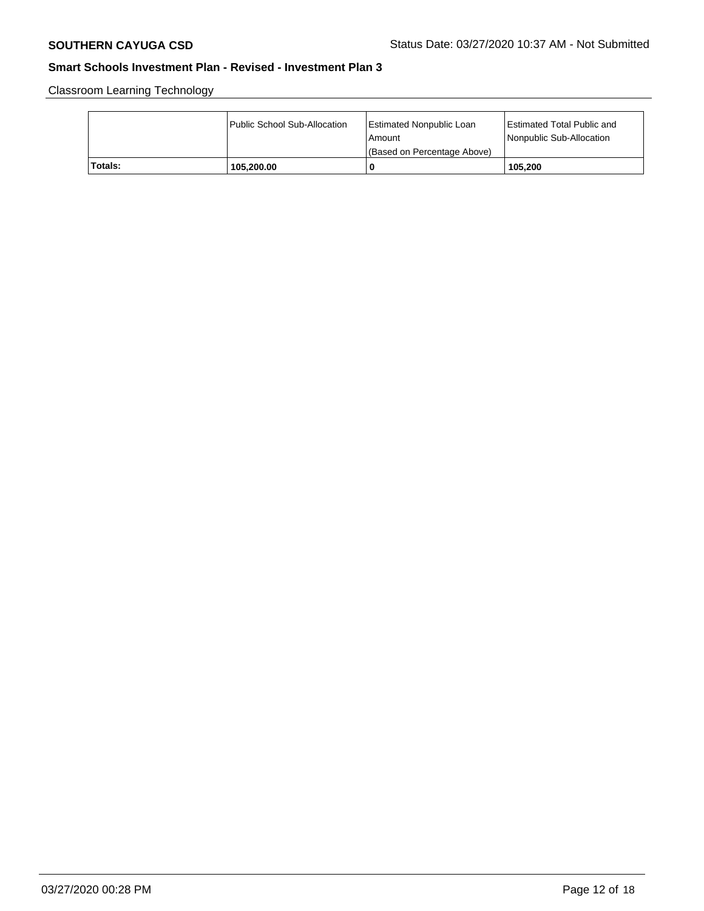Classroom Learning Technology

|         | Public School Sub-Allocation | <b>Estimated Nonpublic Loan</b><br>l Amount<br>(Based on Percentage Above) | Estimated Total Public and<br>Nonpublic Sub-Allocation |
|---------|------------------------------|----------------------------------------------------------------------------|--------------------------------------------------------|
| Totals: | 105.200.00                   | C                                                                          | 105.200                                                |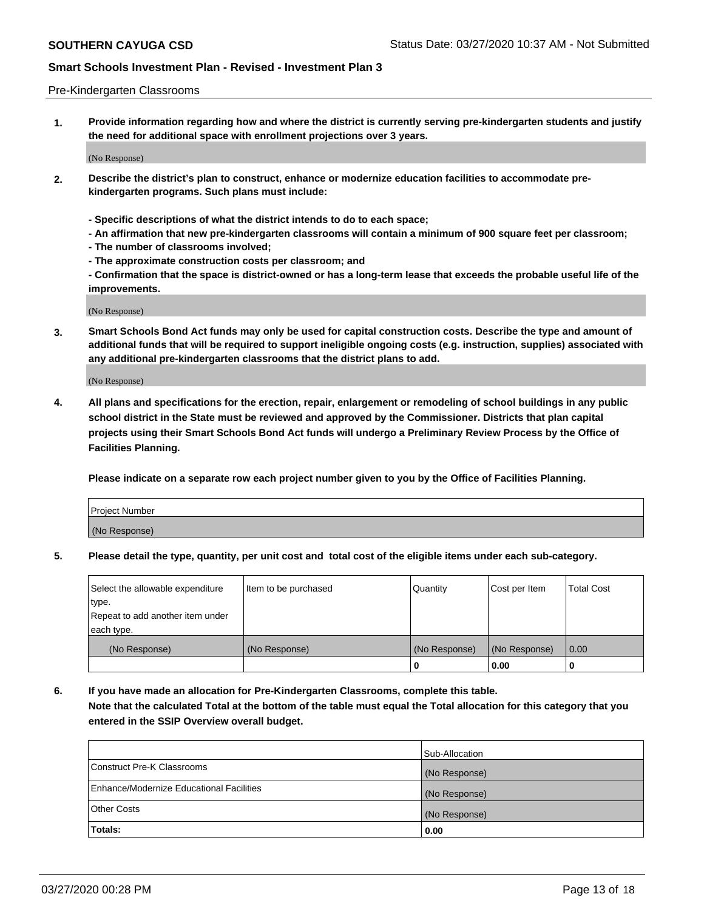#### Pre-Kindergarten Classrooms

**1. Provide information regarding how and where the district is currently serving pre-kindergarten students and justify the need for additional space with enrollment projections over 3 years.**

(No Response)

- **2. Describe the district's plan to construct, enhance or modernize education facilities to accommodate prekindergarten programs. Such plans must include:**
	- **Specific descriptions of what the district intends to do to each space;**
	- **An affirmation that new pre-kindergarten classrooms will contain a minimum of 900 square feet per classroom;**
	- **The number of classrooms involved;**
	- **The approximate construction costs per classroom; and**
	- **Confirmation that the space is district-owned or has a long-term lease that exceeds the probable useful life of the improvements.**

(No Response)

**3. Smart Schools Bond Act funds may only be used for capital construction costs. Describe the type and amount of additional funds that will be required to support ineligible ongoing costs (e.g. instruction, supplies) associated with any additional pre-kindergarten classrooms that the district plans to add.**

(No Response)

**4. All plans and specifications for the erection, repair, enlargement or remodeling of school buildings in any public school district in the State must be reviewed and approved by the Commissioner. Districts that plan capital projects using their Smart Schools Bond Act funds will undergo a Preliminary Review Process by the Office of Facilities Planning.**

**Please indicate on a separate row each project number given to you by the Office of Facilities Planning.**

| Project Number |  |
|----------------|--|
| (No Response)  |  |
|                |  |

**5. Please detail the type, quantity, per unit cost and total cost of the eligible items under each sub-category.**

| Select the allowable expenditure | Item to be purchased | Quantity      | Cost per Item | <b>Total Cost</b> |
|----------------------------------|----------------------|---------------|---------------|-------------------|
| type.                            |                      |               |               |                   |
| Repeat to add another item under |                      |               |               |                   |
| each type.                       |                      |               |               |                   |
| (No Response)                    | (No Response)        | (No Response) | (No Response) | 0.00              |
|                                  |                      | υ             | 0.00          |                   |

**6. If you have made an allocation for Pre-Kindergarten Classrooms, complete this table. Note that the calculated Total at the bottom of the table must equal the Total allocation for this category that you entered in the SSIP Overview overall budget.**

|                                          | Sub-Allocation |
|------------------------------------------|----------------|
| Construct Pre-K Classrooms               | (No Response)  |
| Enhance/Modernize Educational Facilities | (No Response)  |
| <b>Other Costs</b>                       | (No Response)  |
| Totals:                                  | 0.00           |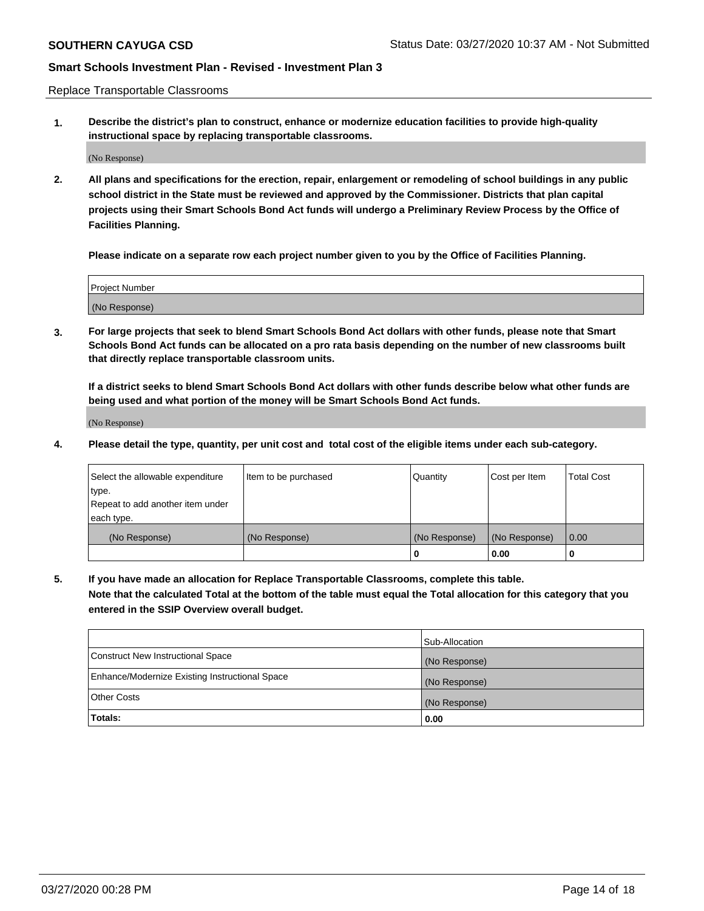Replace Transportable Classrooms

**1. Describe the district's plan to construct, enhance or modernize education facilities to provide high-quality instructional space by replacing transportable classrooms.**

(No Response)

**2. All plans and specifications for the erection, repair, enlargement or remodeling of school buildings in any public school district in the State must be reviewed and approved by the Commissioner. Districts that plan capital projects using their Smart Schools Bond Act funds will undergo a Preliminary Review Process by the Office of Facilities Planning.**

**Please indicate on a separate row each project number given to you by the Office of Facilities Planning.**

| Project Number |  |
|----------------|--|
|                |  |
|                |  |
|                |  |
|                |  |
| (No Response)  |  |
|                |  |
|                |  |
|                |  |

**3. For large projects that seek to blend Smart Schools Bond Act dollars with other funds, please note that Smart Schools Bond Act funds can be allocated on a pro rata basis depending on the number of new classrooms built that directly replace transportable classroom units.**

**If a district seeks to blend Smart Schools Bond Act dollars with other funds describe below what other funds are being used and what portion of the money will be Smart Schools Bond Act funds.**

(No Response)

**4. Please detail the type, quantity, per unit cost and total cost of the eligible items under each sub-category.**

| Select the allowable expenditure<br>∣type.     | Item to be purchased | Quantity      | Cost per Item | Total Cost |
|------------------------------------------------|----------------------|---------------|---------------|------------|
| Repeat to add another item under<br>each type. |                      |               |               |            |
| (No Response)                                  | (No Response)        | (No Response) | (No Response) | 0.00       |
|                                                |                      | u             | 0.00          |            |

**5. If you have made an allocation for Replace Transportable Classrooms, complete this table. Note that the calculated Total at the bottom of the table must equal the Total allocation for this category that you entered in the SSIP Overview overall budget.**

|                                                | Sub-Allocation |
|------------------------------------------------|----------------|
| Construct New Instructional Space              | (No Response)  |
| Enhance/Modernize Existing Instructional Space | (No Response)  |
| <b>Other Costs</b>                             | (No Response)  |
| Totals:                                        | 0.00           |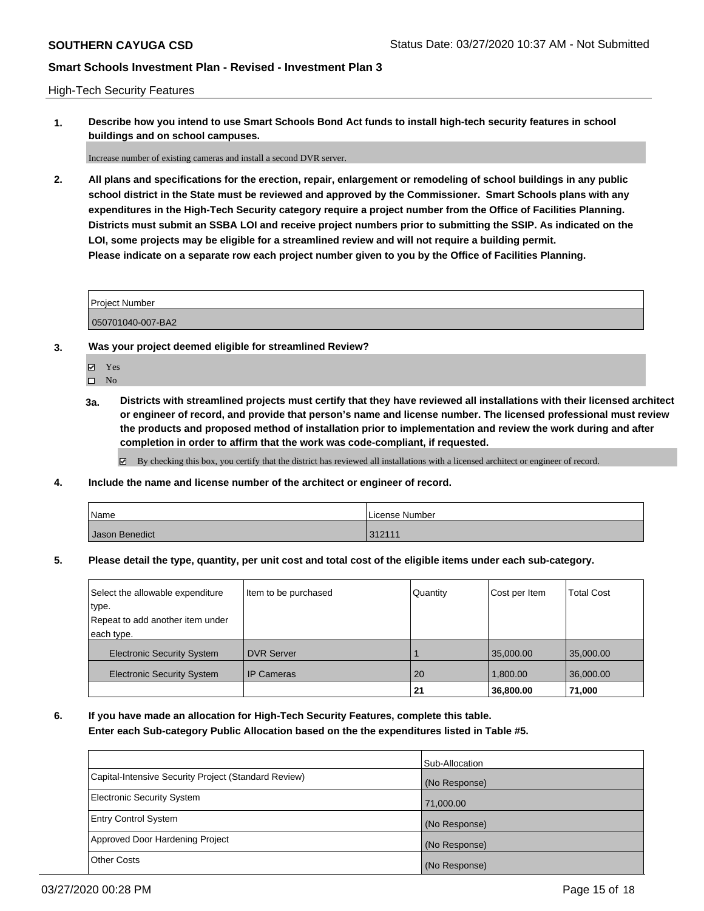High-Tech Security Features

**1. Describe how you intend to use Smart Schools Bond Act funds to install high-tech security features in school buildings and on school campuses.**

Increase number of existing cameras and install a second DVR server.

**2. All plans and specifications for the erection, repair, enlargement or remodeling of school buildings in any public school district in the State must be reviewed and approved by the Commissioner. Smart Schools plans with any expenditures in the High-Tech Security category require a project number from the Office of Facilities Planning. Districts must submit an SSBA LOI and receive project numbers prior to submitting the SSIP. As indicated on the LOI, some projects may be eligible for a streamlined review and will not require a building permit. Please indicate on a separate row each project number given to you by the Office of Facilities Planning.**

| <b>Project Number</b> |  |
|-----------------------|--|
| 050701040-007-BA2     |  |

- **3. Was your project deemed eligible for streamlined Review?**
	- Yes

 $\square$  No

**3a. Districts with streamlined projects must certify that they have reviewed all installations with their licensed architect or engineer of record, and provide that person's name and license number. The licensed professional must review the products and proposed method of installation prior to implementation and review the work during and after completion in order to affirm that the work was code-compliant, if requested.**

By checking this box, you certify that the district has reviewed all installations with a licensed architect or engineer of record.

**4. Include the name and license number of the architect or engineer of record.**

| Name           | License Number |
|----------------|----------------|
| Jason Benedict | 312111         |

**5. Please detail the type, quantity, per unit cost and total cost of the eligible items under each sub-category.**

| Select the allowable expenditure  | Item to be purchased | Quantity | Cost per Item | <b>Total Cost</b> |
|-----------------------------------|----------------------|----------|---------------|-------------------|
| type.                             |                      |          |               |                   |
| Repeat to add another item under  |                      |          |               |                   |
| each type.                        |                      |          |               |                   |
| <b>Electronic Security System</b> | <b>DVR Server</b>    |          | 35,000.00     | 35,000.00         |
| <b>Electronic Security System</b> | <b>IP Cameras</b>    | 20       | 1.800.00      | 36,000.00         |
|                                   |                      | 21       | 36,800.00     | 71,000            |

**6. If you have made an allocation for High-Tech Security Features, complete this table. Enter each Sub-category Public Allocation based on the the expenditures listed in Table #5.**

|                                                      | Sub-Allocation |
|------------------------------------------------------|----------------|
| Capital-Intensive Security Project (Standard Review) | (No Response)  |
| <b>Electronic Security System</b>                    | 71,000.00      |
| <b>Entry Control System</b>                          | (No Response)  |
| Approved Door Hardening Project                      | (No Response)  |
| <b>Other Costs</b>                                   | (No Response)  |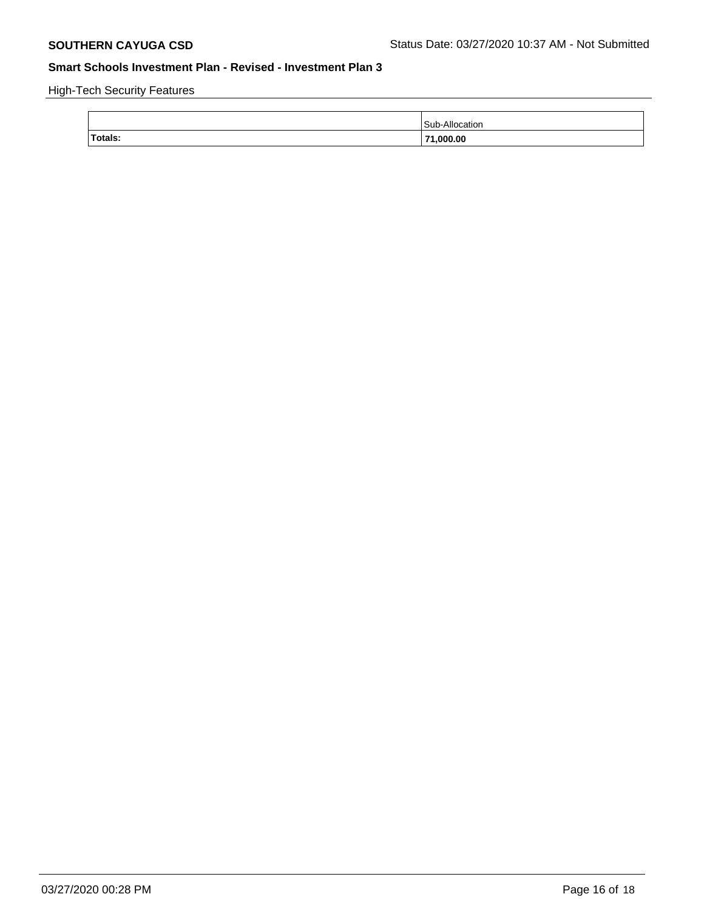High-Tech Security Features

|         | Sub-Allocation |
|---------|----------------|
| Totals: | 71,000.00      |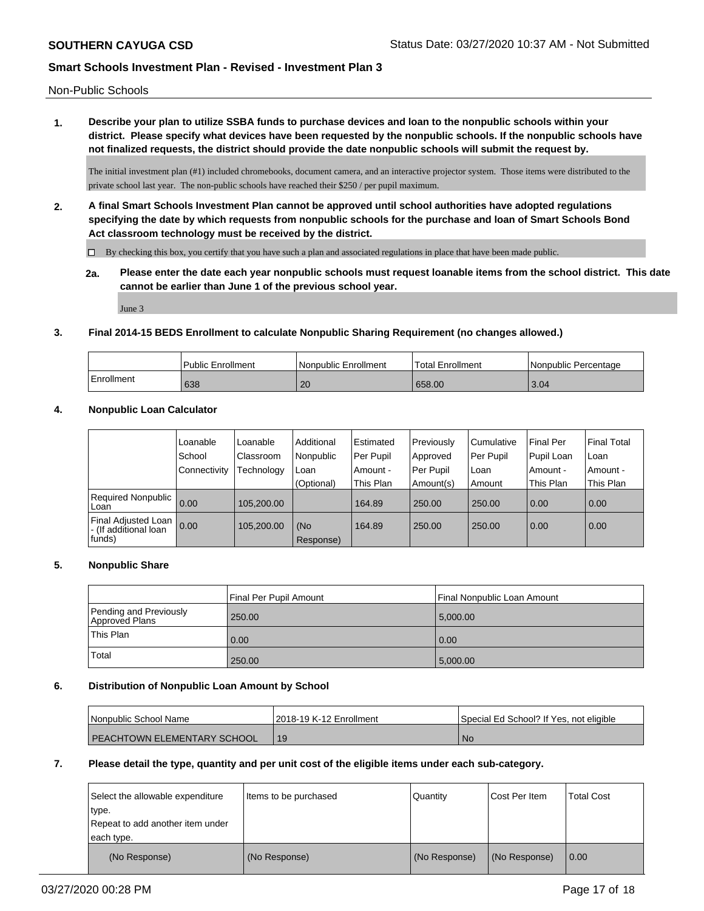Non-Public Schools

**1. Describe your plan to utilize SSBA funds to purchase devices and loan to the nonpublic schools within your district. Please specify what devices have been requested by the nonpublic schools. If the nonpublic schools have not finalized requests, the district should provide the date nonpublic schools will submit the request by.**

The initial investment plan (#1) included chromebooks, document camera, and an interactive projector system. Those items were distributed to the private school last year. The non-public schools have reached their \$250 / per pupil maximum.

**2. A final Smart Schools Investment Plan cannot be approved until school authorities have adopted regulations specifying the date by which requests from nonpublic schools for the purchase and loan of Smart Schools Bond Act classroom technology must be received by the district.**

 $\Box$  By checking this box, you certify that you have such a plan and associated regulations in place that have been made public.

**2a. Please enter the date each year nonpublic schools must request loanable items from the school district. This date cannot be earlier than June 1 of the previous school year.**

June 3

### **3. Final 2014-15 BEDS Enrollment to calculate Nonpublic Sharing Requirement (no changes allowed.)**

|            | Public Enrollment | Nonpublic Enrollment | 'Total Enrollment | I Nonpublic Percentage |
|------------|-------------------|----------------------|-------------------|------------------------|
| Enrollment | 638               | 20                   | 658.00            | 3.04                   |

### **4. Nonpublic Loan Calculator**

|                                                          | Loanable     | Loanable   | Additional       | <b>Estimated</b> | Previously | Cumulative | <b>Final Per</b> | Final Total |
|----------------------------------------------------------|--------------|------------|------------------|------------------|------------|------------|------------------|-------------|
|                                                          | School       | Classroom  | Nonpublic        | Per Pupil        | Approved   | Per Pupil  | Pupil Loan       | ∣Loan       |
|                                                          | Connectivity | Technology | Loan             | Amount -         | Per Pupil  | Loan       | Amount -         | Amount -    |
|                                                          |              |            | (Optional)       | This Plan        | Amount(s)  | Amount     | This Plan        | This Plan   |
| <b>Required Nonpublic</b><br>Loan                        | 0.00         | 105.200.00 |                  | 164.89           | 250.00     | 250.00     | 0.00             | 0.00        |
| Final Adjusted Loan<br>I - (If additional loan<br>funds) | 0.00         | 105,200.00 | (No<br>Response) | 164.89           | 250.00     | 250.00     | 0.00             | 0.00        |

#### **5. Nonpublic Share**

|                                          | Final Per Pupil Amount | l Final Nonpublic Loan Amount |
|------------------------------------------|------------------------|-------------------------------|
| Pending and Previously<br>Approved Plans | 250.00                 | 5,000.00                      |
| <sup>1</sup> This Plan                   | 0.00                   | 0.00                          |
| Total                                    | 250.00                 | 5,000.00                      |

#### **6. Distribution of Nonpublic Loan Amount by School**

| <b>Nonpublic School Name</b>         | 12018-19 K-12 Enrollment | Special Ed School? If Yes, not eligible |
|--------------------------------------|--------------------------|-----------------------------------------|
| <b>I PEACHTOWN ELEMENTARY SCHOOL</b> |                          | N0                                      |

#### **7. Please detail the type, quantity and per unit cost of the eligible items under each sub-category.**

| Select the allowable expenditure<br>type.<br>Repeat to add another item under<br>each type. | Items to be purchased | Quantity      | Cost Per Item | <b>Total Cost</b> |
|---------------------------------------------------------------------------------------------|-----------------------|---------------|---------------|-------------------|
| (No Response)                                                                               | (No Response)         | (No Response) | (No Response) | 0.00              |